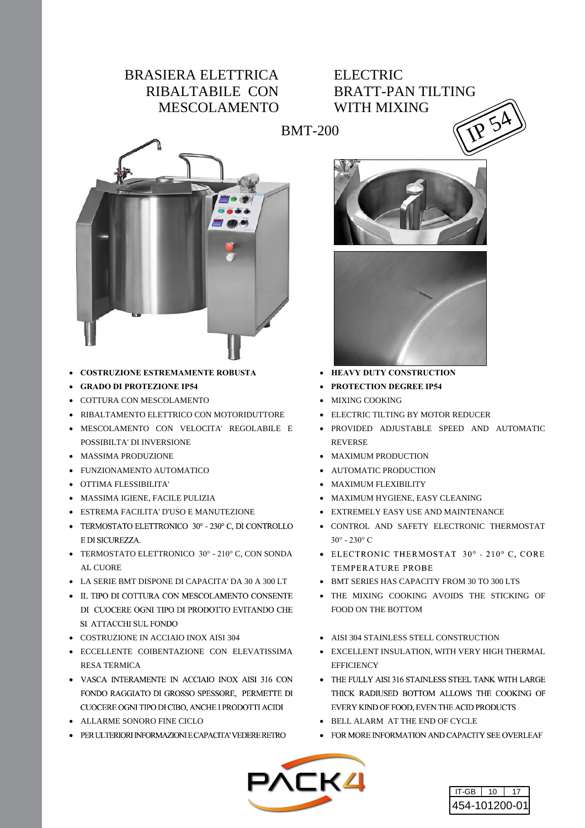## BRASIERA ELETTRICA RIBALTABILE CON MESCOLAMENTO

## ELECTRIC BRATT-PAN TILTING WITH MIXING BMT-200  $\binom{1111 \text{ MLMN}}{11}$



- x **COSTRUZIONE ESTREMAMENTE ROBUSTA**
- x **GRADO DI PROTEZIONE IP54**
- COTTURA CON MESCOLAMENTO
- x RIBALTAMENTO ELETTRICO CON MOTORIDUTTORE
- x MESCOLAMENTO CON VELOCITA' REGOLABILE E POSSIBILTA' DI INVERSIONE
- MASSIMA PRODUZIONE
- FUNZIONAMENTO AUTOMATICO
- x OTTIMA FLESSIBILITA'
- x MASSIMA IGIENE, FACILE PULIZIA
- x ESTREMA FACILITA' D'USO E MANUTEZIONE
- TERMOSTATO ELETTRONICO 30° 230° C, DI CONTROLLO E DI SICUREZZA.
- AL CUORE
- x LA SERIE BMT DISPONE DI CAPACITA' DA 30 A 300 LT
- IL TIPO DI COTTURA CON MESCOLAMENTO CONSENTE DI CUOCERE OGNI TIPO DI PRODOTTO EVITANDO CHE SI ATTACCHI SUL FONDO
- x COSTRUZIONE IN ACCIAIO INOX AISI 304
- **ECCELLENTE COIBENTAZIONE CON ELEVATISSIMA** RESA TERMICA
- VASCA INTERAMENTE IN ACCIAIO INOX AISI 316 CON FONDO RAGGIATO DI GROSSO SPESSORE, PERMETTE DI CUOCERE OGNI TIPO DI CIBO. ANCHE I PRODOTTI ACIDI
- x ALLARME SONORO FINE CICLO
- PER ULTERIORI INFORMAZIONI E CAPACITA' VEDERE RETRO





- x **HEAVY DUTY CONSTRUCTION**
- **PROTECTION DEGREE IP54**
- MIXING COOKING
- ELECTRIC TILTING BY MOTOR REDUCER
- x PROVIDED ADJUSTABLE SPEED AND AUTOMATIC REVERSE
- MAXIMUM PRODUCTION
- AUTOMATIC PRODUCTION
- MAXIMUM FLEXIBILITY
- MAXIMUM HYGIENE, EASY CLEANING
- **EXTREMELY EASY USE AND MAINTENANCE**
- x CONTROL AND SAFETY ELECTRONIC THERMOSTAT  $30^{\circ} - 230^{\circ}$  C
- TERMOSTATO ELETTRONICO 30° 210° C, CON SONDA ELECTRONIC THERMOSTAT 30° 210° C, CORE **TEMPERATURE PROBE** 
	- BMT SERIES HAS CAPACITY FROM 30 TO 300 LTS
	- THE MIXING COOKING AVOIDS THE STICKING OF FOOD ON THE BOTTOM
	- AISI 304 STAINLESS STELL CONSTRUCTION
	- EXCELLENT INSULATION, WITH VERY HIGH THERMAL **EFFICIENCY**
	- THE FULLY AISI 316 STAINLESS STEEL TANK WITH LARGE THICK RADIUSED BOTTOM ALLOWS THE COOKING OF EVERY KIND OF FOOD. EVEN THE ACID PRODUCTS
	- x BELL ALARM AT THE END OF CYCLE
	- FOR MORE INFORMATION AND CAPACITY SEE OVERLEAF